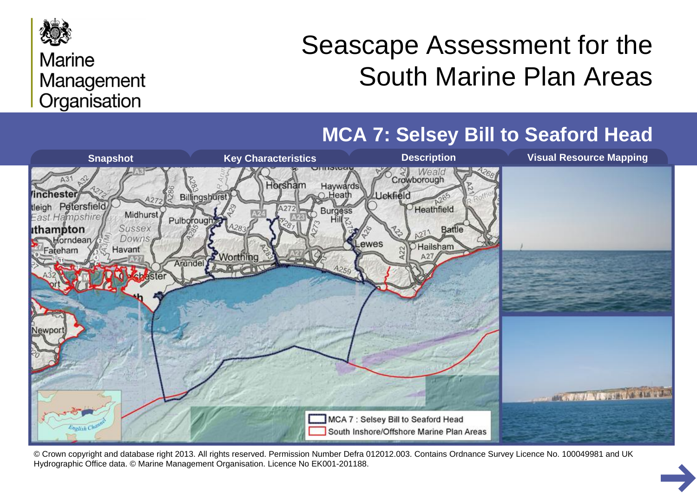

#### **Marine** Management Organisation

# Seascape Assessment for the South Marine Plan Areas

**MCA 7: Selsey Bill to Seaford Head**



© Crown copyright and database right 2013. All rights reserved. Permission Number Defra 012012.003. Contains Ordnance Survey Licence No. 100049981 and UK Hydrographic Office data. © Marine Management Organisation. Licence No EK001-201188.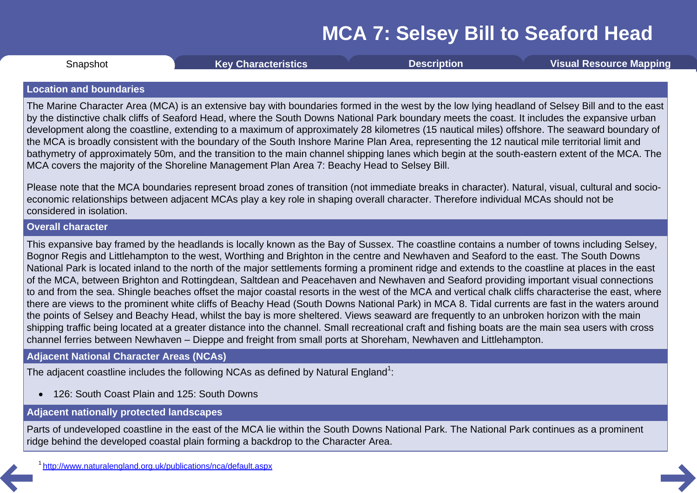<span id="page-1-0"></span>**Snapshot** 

Snapshot **Key [Characteristics](#page-2-0) [Description](#page-3-0) Visual [Resource](#page-8-0) Mapping**

#### **Location and boundaries**

The Marine Character Area (MCA) is an extensive bay with boundaries formed in the west by the low lying headland of Selsey Bill and to the east by the distinctive chalk cliffs of Seaford Head, where the South Downs National Park boundary meets the coast. It includes the expansive urban development along the coastline, extending to a maximum of approximately 28 kilometres (15 nautical miles) offshore. The seaward boundary of the MCA is broadly consistent with the boundary of the South Inshore Marine Plan Area, representing the 12 nautical mile territorial limit and bathymetry of approximately 50m, and the transition to the main channel shipping lanes which begin at the south-eastern extent of the MCA. The MCA covers the majority of the Shoreline Management Plan Area 7: Beachy Head to Selsey Bill.

Please note that the MCA boundaries represent broad zones of transition (not immediate breaks in character). Natural, visual, cultural and socio economic relationships between adjacent MCAs play a key role in shaping overall character. Therefore individual MCAs should not be considered in isolation.

#### **Overall character**

This expansive bay framed by the headlands is locally known as the Bay of Sussex. The coastline contains a number of towns including Selsey, Bognor Regis and Littlehampton to the west, Worthing and Brighton in the centre and Newhaven and Seaford to the east. The South Downs National Park is located inland to the north of the major settlements forming a prominent ridge and extends to the coastline at places in the east of the MCA, between Brighton and Rottingdean, Saltdean and Peacehaven and Newhaven and Seaford providing important visual connections to and from the sea. Shingle beaches offset the major coastal resorts in the west of the MCA and vertical chalk cliffs characterise the east, where there are views to the prominent white cliffs of Beachy Head (South Downs National Park) in MCA 8. Tidal currents are fast in the waters around the points of Selsey and Beachy Head, whilst the bay is more sheltered. Views seaward are frequently to an unbroken horizon with the main shipping traffic being located at a greater distance into the channel. Small recreational craft and fishing boats are the main sea users with cross channel ferries between Newhaven – Dieppe and freight from small ports at Shoreham, Newhaven and Littlehampton.

#### **Adjacent National Character Areas (NCAs)**

The adjacent coastline includes the following NCAs as defined by Natural England<sup>1</sup>:

· 126: South Coast Plain and 125: South Downs

#### **Adjacent nationally protected landscapes**

Parts of undeveloped coastline in the east of the MCA lie within the South Downs National Park. The National Park continues as a prominent ridge behind the developed coastal plain forming a backdrop to the Character Area.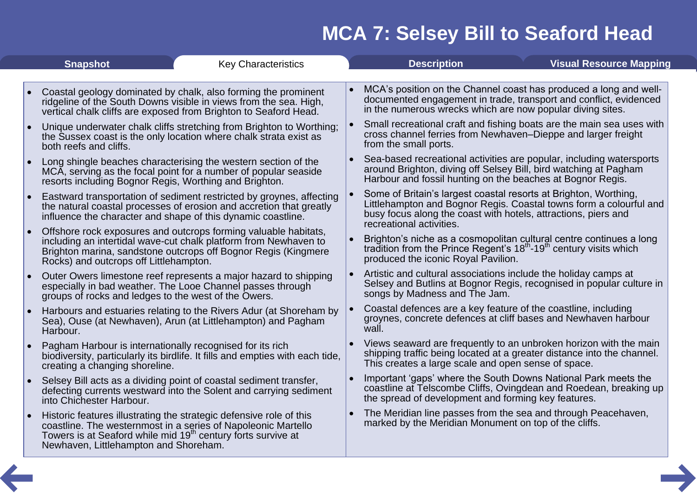<span id="page-2-0"></span>

| <b>Snapshot</b> |                                                                                             | <b>Key Characteristics</b>                                                                                                                                                                                       | <b>Description</b>                                                                                                                                                                                                                   | <b>Visual Resource Mapping</b> |
|-----------------|---------------------------------------------------------------------------------------------|------------------------------------------------------------------------------------------------------------------------------------------------------------------------------------------------------------------|--------------------------------------------------------------------------------------------------------------------------------------------------------------------------------------------------------------------------------------|--------------------------------|
|                 |                                                                                             |                                                                                                                                                                                                                  |                                                                                                                                                                                                                                      |                                |
|                 |                                                                                             | Coastal geology dominated by chalk, also forming the prominent<br>ridgeline of the South Downs visible in views from the sea. High,<br>vertical chalk cliffs are exposed from Brighton to Seaford Head.          | MCA's position on the Channel coast has produced a long and well-<br>documented engagement in trade, transport and conflict, evidenced<br>in the numerous wrecks which are now popular diving sites.                                 |                                |
| $\bullet$       | both reefs and cliffs.                                                                      | Unique underwater chalk cliffs stretching from Brighton to Worthing;<br>the Sussex coast is the only location where chalk strata exist as                                                                        | Small recreational craft and fishing boats are the main sea uses with<br>cross channel ferries from Newhaven–Dieppe and larger freight<br>from the small ports.                                                                      |                                |
|                 | resorts including Bognor Regis, Worthing and Brighton.                                      | Long shingle beaches characterising the western section of the<br>MCA, serving as the focal point for a number of popular seaside                                                                                | Sea-based recreational activities are popular, including watersports<br>around Brighton, diving off Selsey Bill, bird watching at Pagham<br>Harbour and fossil hunting on the beaches at Bognor Regis.                               |                                |
|                 |                                                                                             | Eastward transportation of sediment restricted by groynes, affecting<br>the natural coastal processes of erosion and accretion that greatly<br>influence the character and shape of this dynamic coastline.      | Some of Britain's largest coastal resorts at Brighton, Worthing,<br>Littlehampton and Bognor Regis. Coastal towns form a colourful and<br>busy focus along the coast with hotels, attractions, piers and<br>recreational activities. |                                |
|                 | Rocks) and outcrops off Littlehampton.                                                      | Offshore rock exposures and outcrops forming valuable habitats,<br>including an intertidal wave-cut chalk platform from Newhaven to<br>Brighton marina, sandstone outcrops off Bognor Regis (Kingmere            | Brighton's niche as a cosmopolitan cultural centre continues a long<br>tradition from the Prince Regent's $18th$ -19 <sup>th</sup> century visits which<br>produced the iconic Royal Pavilion.                                       |                                |
| $\bullet$       | groups of rocks and ledges to the west of the Owers.                                        | Outer Owers limestone reef represents a major hazard to shipping<br>especially in bad weather. The Looe Channel passes through                                                                                   | Artistic and cultural associations include the holiday camps at<br>Selsey and Butlins at Bognor Regis, recognised in popular culture in<br>songs by Madness and The Jam.                                                             |                                |
|                 | Harbour.                                                                                    | Harbours and estuaries relating to the Rivers Adur (at Shoreham by<br>Sea), Ouse (at Newhaven), Arun (at Littlehampton) and Pagham                                                                               | Coastal defences are a key feature of the coastline, including<br>groynes, concrete defences at cliff bases and Newhaven harbour<br>wall.                                                                                            |                                |
|                 | Pagham Harbour is internationally recognised for its rich<br>creating a changing shoreline. | biodiversity, particularly its birdlife. It fills and empties with each tide,                                                                                                                                    | Views seaward are frequently to an unbroken horizon with the main<br>shipping traffic being located at a greater distance into the channel.<br>This creates a large scale and open sense of space.                                   |                                |
|                 | into Chichester Harbour.                                                                    | Selsey Bill acts as a dividing point of coastal sediment transfer,<br>defecting currents westward into the Solent and carrying sediment                                                                          | Important 'gaps' where the South Downs National Park meets the<br>coastline at Telscombe Cliffs, Ovingdean and Roedean, breaking up<br>the spread of development and forming key features.                                           |                                |
|                 | Newhaven, Littlehampton and Shoreham.                                                       | Historic features illustrating the strategic defensive role of this<br>coastline. The westernmost in a series of Napoleonic Martello<br>Towers is at Seaford while mid 19 <sup>th</sup> century forts survive at | The Meridian line passes from the sea and through Peacehaven,<br>marked by the Meridian Monument on top of the cliffs.                                                                                                               |                                |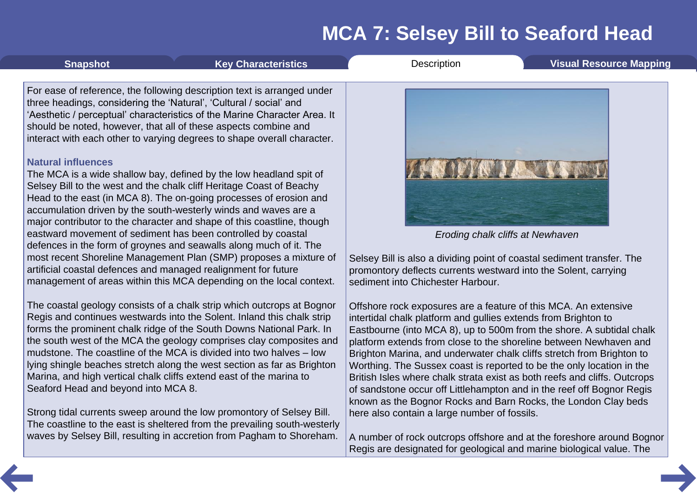| the south west of the MCA the geology comprises clay composites and     |
|-------------------------------------------------------------------------|
| mudstone. The coastline of the MCA is divided into two halves – low     |
| lying shingle beaches stretch along the west section as far as Brighton |
| Marina, and high vertical chalk cliffs extend east of the marina to     |
| Seaford Head and beyond into MCA 8.                                     |
|                                                                         |
|                                                                         |

Strong tidal currents sweep around the low promontory of Selsey Bill. The coastline to the east is sheltered from the prevailing south-westerly waves by Selsey Bill, resulting in accretion from Pagham to Shoreham.

*Eroding chalk cliffs at Newhaven*

Selsey Bill is also a dividing point of coastal sediment transfer. The promontory deflects currents westward into the Solent, carrying sediment into Chichester Harbour.

Offshore rock exposures are a feature of this MCA. An extensive intertidal chalk platform and gullies extends from Brighton to Eastbourne (into MCA 8), up to 500m from the shore. A subtidal chalk platform extends from close to the shoreline between Newhaven and Brighton Marina, and underwater chalk cliffs stretch from Brighton to Worthing. The Sussex coast is reported to be the only location in the British Isles where chalk strata exist as both reefs and cliffs. Outcrops of sandstone occur off Littlehampton and in the reef off Bognor Regis known as the Bognor Rocks and Barn Rocks, the London Clay beds here also contain a large number of fossils.

A number of rock outcrops offshore and at the foreshore around Bognor Regis are designated for geological and marine biological value. The

<span id="page-3-0"></span>

#### **Natural influences**

The MCA is a wide shallow bay, defined by the low headland spit of Selsey Bill to the west and the chalk cliff Heritage Coast of Beachy Head to the east (in MCA 8). The on-going processes of erosion and accumulation driven by the south-westerly winds and waves are a major contributor to the character and shape of this coastline, though eastward movement of sediment has been controlled by coastal defences in the form of groynes and seawalls along much of it. The most recent Shoreline Management Plan (SMP) proposes a mixture of artificial coastal defences and managed realignment for future management of areas within this MCA depending on the local context.

The coastal geology consists of a chalk strip which outcrops at Bognor Regis and continues westwards into the Solent. Inland this chalk strip forms the prominent chalk ridge of the South Downs National Park. In

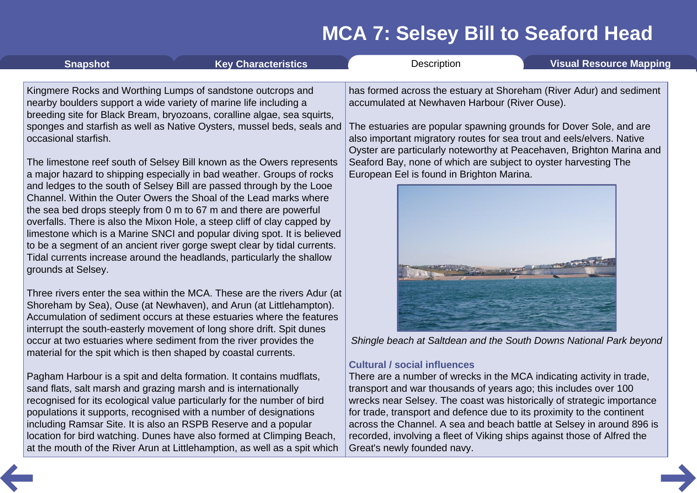| <b>Snapshot</b>                                                 | <b>Key Characteristics</b>                                                                                                                                                                                                     | Description                                                                                                                                                                           | <b>Visual Resource Mapping</b>                |  |  |
|-----------------------------------------------------------------|--------------------------------------------------------------------------------------------------------------------------------------------------------------------------------------------------------------------------------|---------------------------------------------------------------------------------------------------------------------------------------------------------------------------------------|-----------------------------------------------|--|--|
|                                                                 | Kingmere Rocks and Worthing Lumps of sandstone outcrops and                                                                                                                                                                    | has formed across the estuary at Shoreham (River Adur) and sediment                                                                                                                   |                                               |  |  |
|                                                                 | nearby boulders support a wide variety of marine life including a<br>breeding site for Black Bream, bryozoans, coralline algae, sea squirts,                                                                                   |                                                                                                                                                                                       | accumulated at Newhaven Harbour (River Ouse). |  |  |
| occasional starfish.                                            | sponges and starfish as well as Native Oysters, mussel beds, seals and                                                                                                                                                         | The estuaries are popular spawning grounds for Dover Sole, and are<br>also important migratory routes for sea trout and eels/elvers. Native                                           |                                               |  |  |
|                                                                 | The limestone reef south of Selsey Bill known as the Owers represents<br>a major hazard to shipping especially in bad weather. Groups of rocks                                                                                 | Oyster are particularly noteworthy at Peacehaven, Brighton Marina and<br>Seaford Bay, none of which are subject to oyster harvesting The<br>European Eel is found in Brighton Marina. |                                               |  |  |
|                                                                 | and ledges to the south of Selsey Bill are passed through by the Looe<br>Channel. Within the Outer Owers the Shoal of the Lead marks where                                                                                     |                                                                                                                                                                                       |                                               |  |  |
|                                                                 | the sea bed drops steeply from 0 m to 67 m and there are powerful<br>overfalls. There is also the Mixon Hole, a steep cliff of clay capped by                                                                                  |                                                                                                                                                                                       |                                               |  |  |
|                                                                 | limestone which is a Marine SNCI and popular diving spot. It is believed<br>to be a segment of an ancient river gorge swept clear by tidal currents.<br>Tidal currents increase around the headlands, particularly the shallow |                                                                                                                                                                                       |                                               |  |  |
| grounds at Selsey.                                              |                                                                                                                                                                                                                                |                                                                                                                                                                                       |                                               |  |  |
|                                                                 | Three rivers enter the sea within the MCA. These are the rivers Adur (at<br>Shoreham by Sea), Ouse (at Newhaven), and Arun (at Littlehampton).                                                                                 |                                                                                                                                                                                       |                                               |  |  |
|                                                                 | Accumulation of sediment occurs at these estuaries where the features<br>interrupt the south-easterly movement of long shore drift. Spit dunes                                                                                 |                                                                                                                                                                                       |                                               |  |  |
| material for the spit which is then shaped by coastal currents. | occur at two estuaries where sediment from the river provides the                                                                                                                                                              | Shingle beach at Saltdean and the South Downs National Park beyond                                                                                                                    |                                               |  |  |
|                                                                 |                                                                                                                                                                                                                                | <b>Cultural / social influences</b>                                                                                                                                                   |                                               |  |  |
|                                                                 | Pagham Harbour is a spit and delta formation. It contains mudflats,                                                                                                                                                            | There are a number of wrecks in the MCA indicating activity in trade,                                                                                                                 |                                               |  |  |
| sand flats, salt marsh and grazing marsh and is internationally |                                                                                                                                                                                                                                | transport and war thousands of years ago; this includes over 100                                                                                                                      |                                               |  |  |

sand flats, salt marsh and grazing marsh and is internationally recognised for its ecological value particularly for the number of bird populations it supports, recognised with a number of designations including Ramsar Site. It is also an RSPB Reserve and a popular location for bird watching. Dunes have also formed at Climping Beach, at the mouth of the River Arun at Littlehamption, as well as a spit which

transport and war thousands of years ago; this includes over 100 wrecks near Selsey. The coast was historically of strategic importance for trade, transport and defence due to its proximity to the continent across the Channel. A sea and beach battle at Selsey in around 896 is recorded, involving a fleet of Viking ships against those of Alfred the Great's newly founded navy.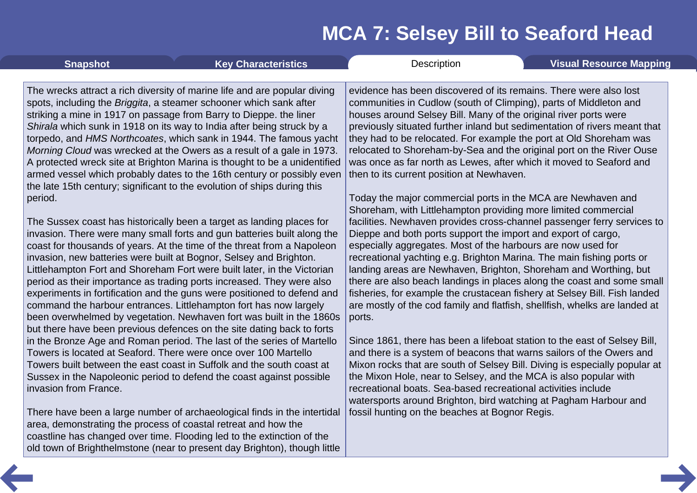| <b>Snapshot</b>                                                                                                                                                                                                                                                                                                                                                            | <b>Key Characteristics</b>                                                                                                                                                                                                                                                                                                                                                                                                                                                                                                                                                                                                                                                                                                                                                                                                                                                                                                                                                                                                                                                                                                                          | Description                                                                                                                                                                                                                                                                                                                                                                                                                                                                                                                                                                                                                                                                                                                                                                                                                                                                                                                                                                                                                                                                                                                                                                                                                                                                                                                                                                      | <b>Visual Resource Mapping</b> |
|----------------------------------------------------------------------------------------------------------------------------------------------------------------------------------------------------------------------------------------------------------------------------------------------------------------------------------------------------------------------------|-----------------------------------------------------------------------------------------------------------------------------------------------------------------------------------------------------------------------------------------------------------------------------------------------------------------------------------------------------------------------------------------------------------------------------------------------------------------------------------------------------------------------------------------------------------------------------------------------------------------------------------------------------------------------------------------------------------------------------------------------------------------------------------------------------------------------------------------------------------------------------------------------------------------------------------------------------------------------------------------------------------------------------------------------------------------------------------------------------------------------------------------------------|----------------------------------------------------------------------------------------------------------------------------------------------------------------------------------------------------------------------------------------------------------------------------------------------------------------------------------------------------------------------------------------------------------------------------------------------------------------------------------------------------------------------------------------------------------------------------------------------------------------------------------------------------------------------------------------------------------------------------------------------------------------------------------------------------------------------------------------------------------------------------------------------------------------------------------------------------------------------------------------------------------------------------------------------------------------------------------------------------------------------------------------------------------------------------------------------------------------------------------------------------------------------------------------------------------------------------------------------------------------------------------|--------------------------------|
| spots, including the Briggita, a steamer schooner which sank after<br>striking a mine in 1917 on passage from Barry to Dieppe. the liner<br>the late 15th century; significant to the evolution of ships during this<br>period.<br>invasion, new batteries were built at Bognor, Selsey and Brighton.<br>command the harbour entrances. Littlehampton fort has now largely | The wrecks attract a rich diversity of marine life and are popular diving<br>Shirala which sunk in 1918 on its way to India after being struck by a<br>torpedo, and HMS Northcoates, which sank in 1944. The famous yacht<br>Morning Cloud was wrecked at the Owers as a result of a gale in 1973.<br>A protected wreck site at Brighton Marina is thought to be a unidentified<br>armed vessel which probably dates to the 16th century or possibly even<br>The Sussex coast has historically been a target as landing places for<br>invasion. There were many small forts and gun batteries built along the<br>coast for thousands of years. At the time of the threat from a Napoleon<br>Littlehampton Fort and Shoreham Fort were built later, in the Victorian<br>period as their importance as trading ports increased. They were also<br>experiments in fortification and the guns were positioned to defend and<br>been overwhelmed by vegetation. Newhaven fort was built in the 1860s<br>but there have been previous defences on the site dating back to forts<br>in the Bronze Age and Roman period. The last of the series of Martello | evidence has been discovered of its remains. There were also lost<br>communities in Cudlow (south of Climping), parts of Middleton and<br>houses around Selsey Bill. Many of the original river ports were<br>previously situated further inland but sedimentation of rivers meant that<br>they had to be relocated. For example the port at Old Shoreham was<br>relocated to Shoreham-by-Sea and the original port on the River Ouse<br>was once as far north as Lewes, after which it moved to Seaford and<br>then to its current position at Newhaven.<br>Today the major commercial ports in the MCA are Newhaven and<br>Shoreham, with Littlehampton providing more limited commercial<br>facilities. Newhaven provides cross-channel passenger ferry services to<br>Dieppe and both ports support the import and export of cargo,<br>especially aggregates. Most of the harbours are now used for<br>recreational yachting e.g. Brighton Marina. The main fishing ports or<br>landing areas are Newhaven, Brighton, Shoreham and Worthing, but<br>there are also beach landings in places along the coast and some small<br>fisheries, for example the crustacean fishery at Selsey Bill. Fish landed<br>are mostly of the cod family and flatfish, shellfish, whelks are landed at<br>ports.<br>Since 1861, there has been a lifeboat station to the east of Selsey Bill, |                                |
| Towers is located at Seaford. There were once over 100 Martello                                                                                                                                                                                                                                                                                                            | Towers built between the east coast in Suffolk and the south coast at                                                                                                                                                                                                                                                                                                                                                                                                                                                                                                                                                                                                                                                                                                                                                                                                                                                                                                                                                                                                                                                                               | and there is a system of beacons that warns sailors of the Owers and<br>Mixon rocks that are south of Selsey Bill. Diving is especially popular at                                                                                                                                                                                                                                                                                                                                                                                                                                                                                                                                                                                                                                                                                                                                                                                                                                                                                                                                                                                                                                                                                                                                                                                                                               |                                |
| invasion from France.                                                                                                                                                                                                                                                                                                                                                      | Sussex in the Napoleonic period to defend the coast against possible                                                                                                                                                                                                                                                                                                                                                                                                                                                                                                                                                                                                                                                                                                                                                                                                                                                                                                                                                                                                                                                                                | the Mixon Hole, near to Selsey, and the MCA is also popular with<br>recreational boats. Sea-based recreational activities include<br>watersports around Brighton, bird watching at Pagham Harbour and                                                                                                                                                                                                                                                                                                                                                                                                                                                                                                                                                                                                                                                                                                                                                                                                                                                                                                                                                                                                                                                                                                                                                                            |                                |
| area, demonstrating the process of coastal retreat and how the                                                                                                                                                                                                                                                                                                             | There have been a large number of archaeological finds in the intertidal<br>coastline has changed over time. Flooding led to the extinction of the<br>old town of Brighthelmstone (near to present day Brighton), though little                                                                                                                                                                                                                                                                                                                                                                                                                                                                                                                                                                                                                                                                                                                                                                                                                                                                                                                     | fossil hunting on the beaches at Bognor Regis.                                                                                                                                                                                                                                                                                                                                                                                                                                                                                                                                                                                                                                                                                                                                                                                                                                                                                                                                                                                                                                                                                                                                                                                                                                                                                                                                   |                                |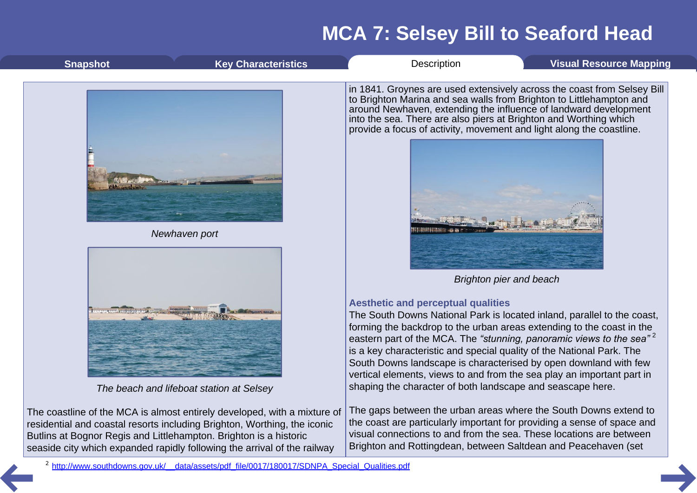| <b>Snapshot</b>                                                                                                                               | <b>Key Characteristics</b>                                                                                                                           | Description                                                                                                                                                                                                                                                                                                                                                                                                                                                                                                                                                            | <b>Visual Resource Mapping</b>                                          |  |
|-----------------------------------------------------------------------------------------------------------------------------------------------|------------------------------------------------------------------------------------------------------------------------------------------------------|------------------------------------------------------------------------------------------------------------------------------------------------------------------------------------------------------------------------------------------------------------------------------------------------------------------------------------------------------------------------------------------------------------------------------------------------------------------------------------------------------------------------------------------------------------------------|-------------------------------------------------------------------------|--|
|                                                                                                                                               |                                                                                                                                                      | to Brighton Marina and sea walls from Brighton to Littlehampton and<br>around Newhaven, extending the influence of landward development<br>into the sea. There are also piers at Brighton and Worthing which<br>provide a focus of activity, movement and light along the coastline.                                                                                                                                                                                                                                                                                   | in 1841. Groynes are used extensively across the coast from Selsey Bill |  |
|                                                                                                                                               | Newhaven port                                                                                                                                        |                                                                                                                                                                                                                                                                                                                                                                                                                                                                                                                                                                        |                                                                         |  |
|                                                                                                                                               |                                                                                                                                                      |                                                                                                                                                                                                                                                                                                                                                                                                                                                                                                                                                                        | <b>Brighton pier and beach</b>                                          |  |
|                                                                                                                                               | The beach and lifeboat station at Selsey                                                                                                             | <b>Aesthetic and perceptual qualities</b><br>The South Downs National Park is located inland, parallel to the coast,<br>forming the backdrop to the urban areas extending to the coast in the<br>eastern part of the MCA. The "stunning, panoramic views to the sea" <sup>2</sup><br>is a key characteristic and special quality of the National Park. The<br>South Downs landscape is characterised by open downland with few<br>vertical elements, views to and from the sea play an important part in<br>shaping the character of both landscape and seascape here. |                                                                         |  |
| residential and coastal resorts including Brighton, Worthing, the iconic<br>Butlins at Bognor Regis and Littlehampton. Brighton is a historic | The coastline of the MCA is almost entirely developed, with a mixture of<br>seaside city which expanded rapidly following the arrival of the railway | The gaps between the urban areas where the South Downs extend to<br>the coast are particularly important for providing a sense of space and<br>visual connections to and from the sea. These locations are between<br>Brighton and Rottingdean, between Saltdean and Peacehaven (set                                                                                                                                                                                                                                                                                   |                                                                         |  |
| <sup>2</sup> http://www.southdowns.gov.uk/ data/assets/pdf file/0017/180017/SDNPA Special Qualities.pdf                                       |                                                                                                                                                      |                                                                                                                                                                                                                                                                                                                                                                                                                                                                                                                                                                        |                                                                         |  |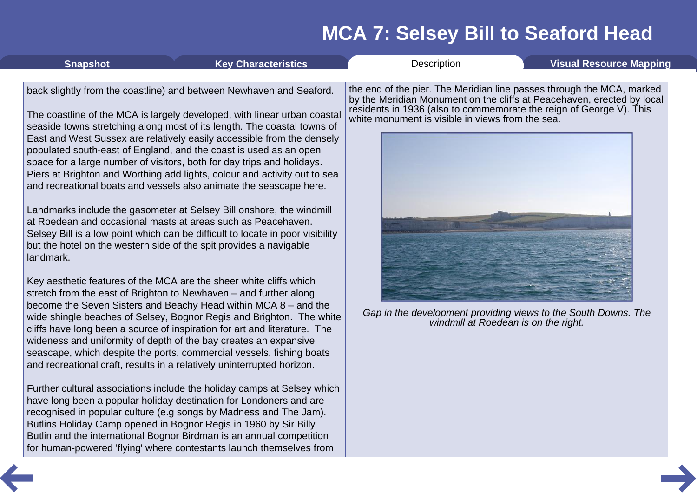<span id="page-7-0"></span>

| <b>Snapshot</b> | <b>Key Characteristics</b>                                                                                                                                                                                                                                                                                                                                                                                                                                                                                                                                                                                                                                                                                                                                                                                                                                                                                                                                                                                                                                                                                                                                                                                                                                                                                                                                                                                                                                                                                                                                                                                                                                                                                                                                                                                                                                                                                                               | Description                                                                                                                                                                                                                                                                                                                                                                          | <b>Visual Resource Mapping</b> |
|-----------------|------------------------------------------------------------------------------------------------------------------------------------------------------------------------------------------------------------------------------------------------------------------------------------------------------------------------------------------------------------------------------------------------------------------------------------------------------------------------------------------------------------------------------------------------------------------------------------------------------------------------------------------------------------------------------------------------------------------------------------------------------------------------------------------------------------------------------------------------------------------------------------------------------------------------------------------------------------------------------------------------------------------------------------------------------------------------------------------------------------------------------------------------------------------------------------------------------------------------------------------------------------------------------------------------------------------------------------------------------------------------------------------------------------------------------------------------------------------------------------------------------------------------------------------------------------------------------------------------------------------------------------------------------------------------------------------------------------------------------------------------------------------------------------------------------------------------------------------------------------------------------------------------------------------------------------------|--------------------------------------------------------------------------------------------------------------------------------------------------------------------------------------------------------------------------------------------------------------------------------------------------------------------------------------------------------------------------------------|--------------------------------|
| landmark.       | back slightly from the coastline) and between Newhaven and Seaford.<br>The coastline of the MCA is largely developed, with linear urban coastal<br>seaside towns stretching along most of its length. The coastal towns of<br>East and West Sussex are relatively easily accessible from the densely<br>populated south-east of England, and the coast is used as an open<br>space for a large number of visitors, both for day trips and holidays.<br>Piers at Brighton and Worthing add lights, colour and activity out to sea<br>and recreational boats and vessels also animate the seascape here.<br>Landmarks include the gasometer at Selsey Bill onshore, the windmill<br>at Roedean and occasional masts at areas such as Peacehaven.<br>Selsey Bill is a low point which can be difficult to locate in poor visibility<br>but the hotel on the western side of the spit provides a navigable<br>Key aesthetic features of the MCA are the sheer white cliffs which<br>stretch from the east of Brighton to Newhaven - and further along<br>become the Seven Sisters and Beachy Head within MCA 8 – and the<br>wide shingle beaches of Selsey, Bognor Regis and Brighton. The white<br>cliffs have long been a source of inspiration for art and literature. The<br>wideness and uniformity of depth of the bay creates an expansive<br>seascape, which despite the ports, commercial vessels, fishing boats<br>and recreational craft, results in a relatively uninterrupted horizon.<br>Further cultural associations include the holiday camps at Selsey which<br>have long been a popular holiday destination for Londoners and are<br>recognised in popular culture (e.g songs by Madness and The Jam).<br>Butlins Holiday Camp opened in Bognor Regis in 1960 by Sir Billy<br>Butlin and the international Bognor Birdman is an annual competition<br>for human-powered 'flying' where contestants launch themselves from | the end of the pier. The Meridian line passes through the MCA, marked<br>by the Meridian Monument on the cliffs at Peacehaven, erected by local<br>residents in 1936 (also to commemorate the reign of George V). This<br>white monument is visible in views from the sea.<br>Gap in the development providing views to the South Downs. The<br>windmill at Roedean is on the right. |                                |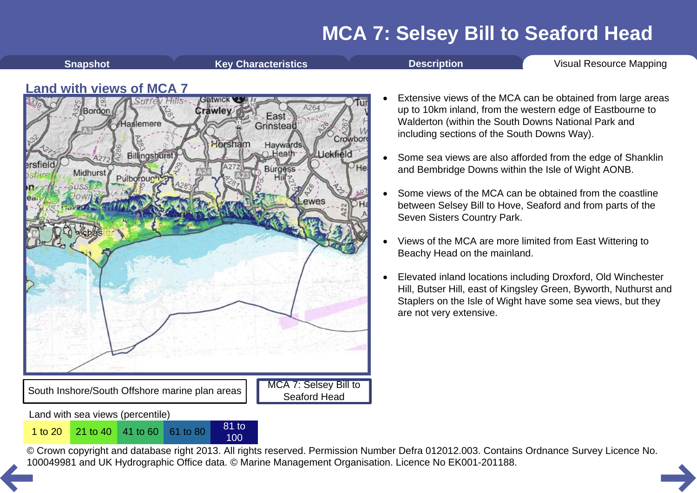<span id="page-8-0"></span>

100

South Inshore/South Offshore marine plan areas

Land with sea views (percentile)

MCA 7: Selsey Bill to Seaford Head

- Extensive views of the MCA can be obtained from large areas up to 10km inland, from the western edge of Eastbourne to Walderton (within the South Downs National Park and including sections of the South Downs Way).
- · Some sea views are also afforded from the edge of Shanklin and Bembridge Downs within the Isle of Wight AONB.
- Some views of the MCA can be obtained from the coastline between Selsey Bill to Hove, Seaford and from parts of the Seven Sisters Country Park.
- · Views of the MCA are more limited from East Wittering to Beachy Head on the mainland.
- Elevated inland locations including Droxford, Old Winchester Hill, Butser Hill, east of Kingsley Green, Byworth, Nuthurst and Staplers on the Isle of Wight have some sea views, but they are not very extensive.

© Crown copyright and database right 2013. All rights reserved. Permission Number Defra 012012.003. Contains Ordnance Survey Licence No. 1 to 20<sup>21</sup> to 40<sup>41</sup> to 60<sup>61</sup> to 80<sup>81</sup> to 80<sup>81</sup> to 80<sup>81</sup> to [10](#page-7-0)0<br>© Crown copyright and database right 2013. All rights reserved. Permission Number Defra 012012.003. Contain<br>100049981 and UK Hydrographic Office data. ©

**Shapshot Key [Characteristics](#page-2-0) [Description](#page-3-0) Visual [Resource](#page-8-0) Mapping**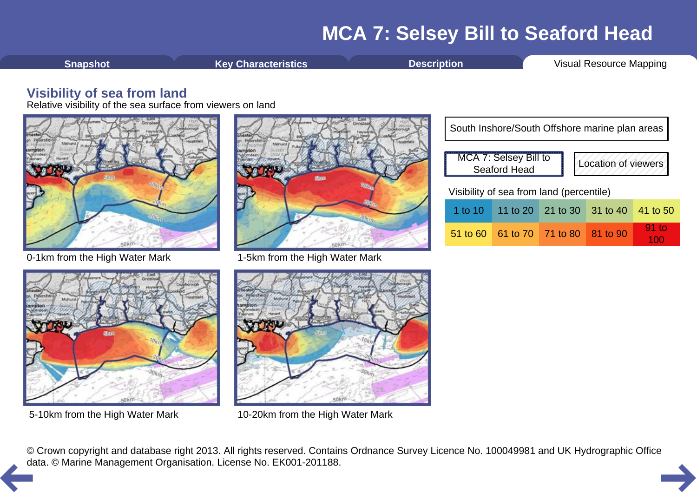<span id="page-9-0"></span>**[Snapshot](#page-1-0) Key [Characteristics](#page-2-0) [Description](#page-3-0) Visual [Resource](#page-8-0) Mapping** 

#### **Visibility of sea from land**

Relative visibility of the sea surface from viewers on land



0-1km from the High Water Mark 1-5km from the High Water Mark



|                                          | South Inshore/South Offshore marine plan areas                      |                                     |                            |  |          |  |  |
|------------------------------------------|---------------------------------------------------------------------|-------------------------------------|----------------------------|--|----------|--|--|
|                                          | MCA 7: Selsey Bill to<br>Location of viewers<br><b>Seaford Head</b> |                                     |                            |  |          |  |  |
| Visibility of sea from land (percentile) |                                                                     |                                     |                            |  |          |  |  |
|                                          | 1 to 10 $\parallel$                                                 |                                     | 11 to 20 21 to 30 31 to 40 |  | 41 to 50 |  |  |
|                                          |                                                                     | 51 to 60 61 to 70 71 to 80 81 to 90 |                            |  | 91 to    |  |  |





5-10km from the High Water Mark 10-20km from the High Water Mark

© Crown copyright and database right 2013. All rights reserved. Contains Ordnance Survey Licence No. 100049981 and UK Hydrographic Office [da](#page-8-0)ta. © Marine Management Organisation. License No. EK001-201188.